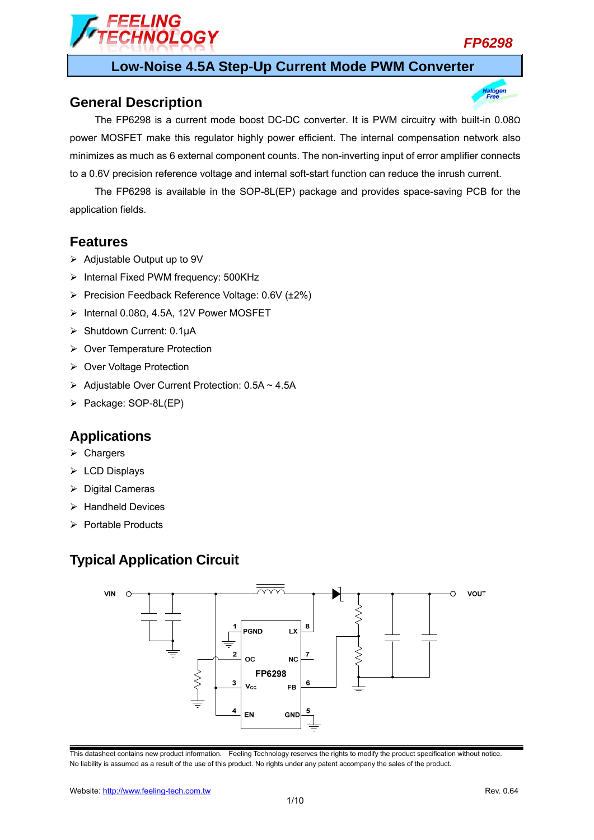

dogen

### **Low-Noise 4.5A Step-Up Current Mode PWM Converter**

#### **General Description**

The FP6298 is a current mode boost DC-DC converter. It is PWM circuitry with built-in 0.08Ω power MOSFET make this regulator highly power efficient. The internal compensation network also minimizes as much as 6 external component counts. The non-inverting input of error amplifier connects to a 0.6V precision reference voltage and internal soft-start function can reduce the inrush current.

The FP6298 is available in the SOP-8L(EP) package and provides space-saving PCB for the application fields.

#### **Features**

- $\triangleright$  Adjustable Output up to 9V
- > Internal Fixed PWM frequency: 500KHz
- Precision Feedback Reference Voltage: 0.6V (±2%)

**OLOGY** 

- Internal 0.08Ω, 4.5A, 12V Power MOSFET
- Shutdown Current: 0.1μA
- ▶ Over Temperature Protection
- ▶ Over Voltage Protection
- $\triangleright$  Adjustable Over Current Protection: 0.5A ~ 4.5A
- ▶ Package: SOP-8L(EP)

#### **Applications**

- $\triangleright$  Chargers
- $\triangleright$  LCD Displays
- $\triangleright$  Digital Cameras
- $\triangleright$  Handheld Devices
- $\triangleright$  Portable Products

### **Typical Application Circuit**

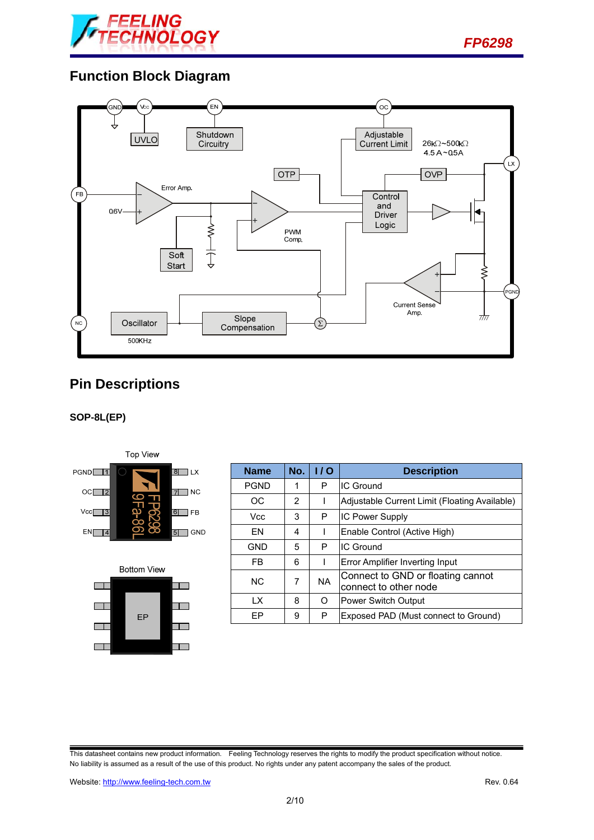

*FP6298* 

### **Function Block Diagram**



## **Pin Descriptions**

#### **SOP-8L(EP)**





| <b>Name</b>    | No. | 1/0       | <b>Description</b>                                         |
|----------------|-----|-----------|------------------------------------------------------------|
| <b>PGND</b>    | 1   | P         | IC Ground                                                  |
| ОC             | 2   |           | Adjustable Current Limit (Floating Available)              |
| <b>Vcc</b>     | 3   | P         | <b>IC Power Supply</b>                                     |
| FN             | 4   |           | Enable Control (Active High)                               |
| <b>GND</b>     | 5   | P         | IC Ground                                                  |
| FB.            | 6   |           | Error Amplifier Inverting Input                            |
| N <sub>C</sub> | 7   | <b>NA</b> | Connect to GND or floating cannot<br>connect to other node |
| IX.            | 8   | Ω         | <b>Power Switch Output</b>                                 |
| FP             | 9   | P         | Exposed PAD (Must connect to Ground)                       |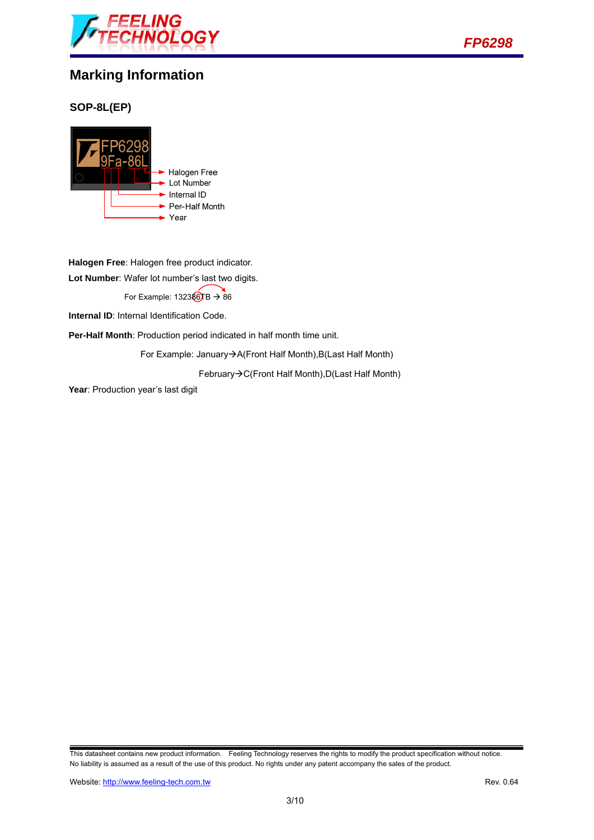



### **Marking Information**

#### **SOP-8L(EP)**



**Halogen Free**: Halogen free product indicator.

**Lot Number**: Wafer lot number's last two digits.

For Example:  $132386TB \rightarrow 86$ 

**Internal ID:** Internal Identification Code.

**Per-Half Month**: Production period indicated in half month time unit.

For Example: January->A(Front Half Month), B(Last Half Month)

February  $\rightarrow$  C(Front Half Month), D(Last Half Month)

Year: Production year's last digit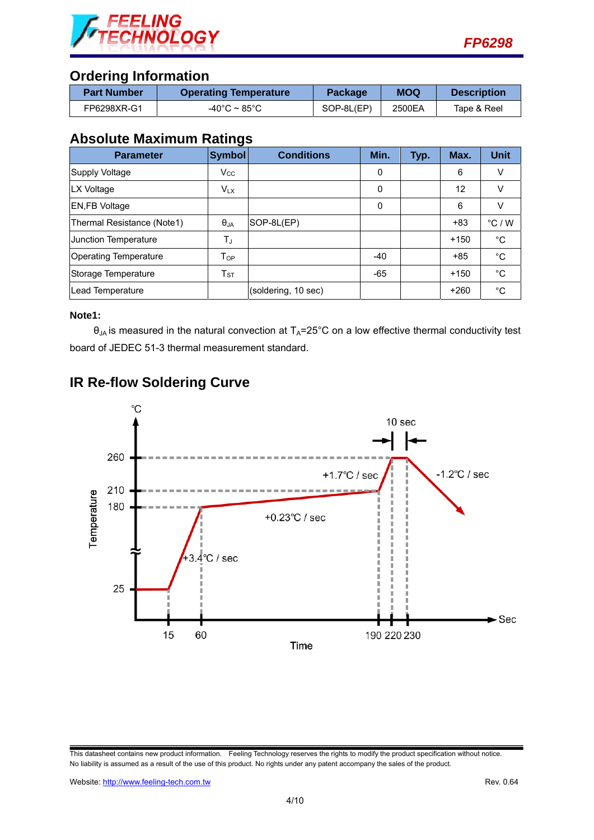



### **Ordering Information**

| <b>Part Number</b> | <b>Operating Temperature</b> | Package    | <b>MOQ</b> | <b>Description</b> |
|--------------------|------------------------------|------------|------------|--------------------|
| FP6298XR-G1        | -40°C ~ 85°C                 | SOP-8L(EP) | 2500EA     | Tape & Reel        |

### **Absolute Maximum Ratings**

| <b>Parameter</b>             | <b>Symbol</b> | <b>Conditions</b>   | Min.  | Typ. | Max.   | <b>Unit</b>     |
|------------------------------|---------------|---------------------|-------|------|--------|-----------------|
| Supply Voltage               | $V_{\rm CC}$  |                     | 0     |      | 6      | v               |
| LX Voltage                   | $V_{LX}$      |                     | 0     |      | 12     | v               |
| <b>EN,FB Voltage</b>         |               |                     | 0     |      | 6      |                 |
| Thermal Resistance (Note1)   | $\theta_{JA}$ | SOP-8L(EP)          |       |      | +83    | $\degree$ C / W |
| Junction Temperature         | $T_{\rm J}$   |                     |       |      | $+150$ | °C              |
| <b>Operating Temperature</b> | $T_{OP}$      |                     | -40   |      | $+85$  | $^{\circ}C$     |
| Storage Temperature          | $T_{ST}$      |                     | $-65$ |      | $+150$ | $^{\circ}C$     |
| Lead Temperature             |               | (soldering, 10 sec) |       |      | $+260$ | °C              |

#### **Note1:**

 $\theta_{JA}$  is measured in the natural convection at  $T_A=25^{\circ}C$  on a low effective thermal conductivity test board of JEDEC 51-3 thermal measurement standard.

## **IR Re-flow Soldering Curve**

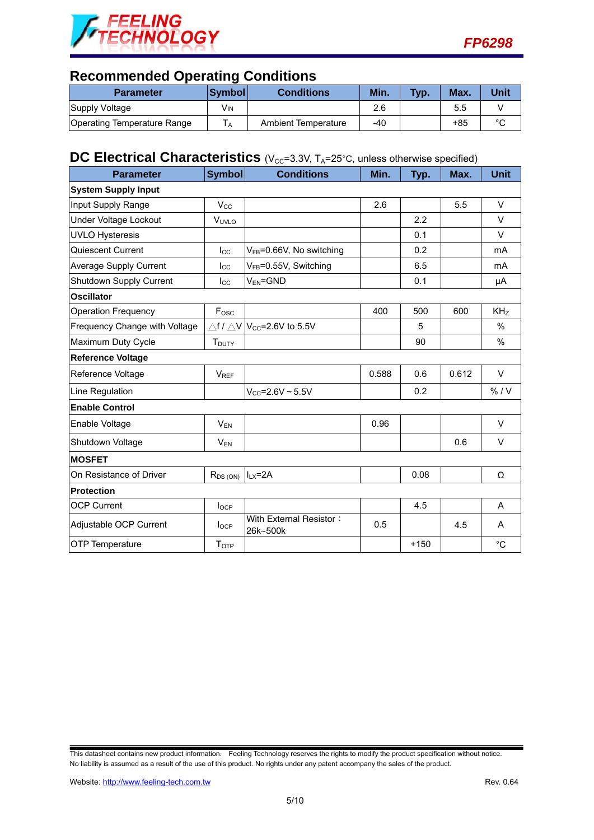



## **Recommended Operating Conditions**

| <b>Parameter</b>            | <b>Svmbol</b> | <b>Conditions</b>   | Min. | Typ. | Max. | Unit   |
|-----------------------------|---------------|---------------------|------|------|------|--------|
| Supply Voltage              | Vın           |                     | 2.6  |      | 5.5  |        |
| Operating Temperature Range |               | Ambient Temperature | -40  |      | +85  | $\sim$ |

### **DC Electrical Characteristics** (V<sub>CC</sub>=3.3V, T<sub>A</sub>=25°C, unless otherwise specified)

| <b>Parameter</b>              | <b>Symbol</b>            | <b>Conditions</b>                                     | Min.  | Typ.   | Max.  | <b>Unit</b>     |
|-------------------------------|--------------------------|-------------------------------------------------------|-------|--------|-------|-----------------|
| <b>System Supply Input</b>    |                          |                                                       |       |        |       |                 |
| Input Supply Range            | $V_{\rm CC}$             |                                                       | 2.6   |        | 5.5   | $\vee$          |
| Under Voltage Lockout         | VUVLO                    |                                                       |       | 2.2    |       | $\vee$          |
| <b>UVLO Hysteresis</b>        |                          |                                                       |       | 0.1    |       | $\vee$          |
| Quiescent Current             | $I_{\rm CC}$             | VFB=0.66V, No switching                               |       | 0.2    |       | mA              |
| <b>Average Supply Current</b> | $_{\text{Lcc}}$          | V <sub>FB</sub> =0.55V, Switching                     |       | 6.5    |       | mA              |
| Shutdown Supply Current       | $I_{\rm CC}$             | $V_{EN} = GND$                                        |       | 0.1    |       | μA              |
| <b>Oscillator</b>             |                          |                                                       |       |        |       |                 |
| <b>Operation Frequency</b>    | F <sub>osc</sub>         |                                                       | 400   | 500    | 600   | KH <sub>Z</sub> |
| Frequency Change with Voltage |                          | $\triangle$ f / $\triangle$ V $ V_{CC}$ =2.6V to 5.5V |       | 5      |       | %               |
| Maximum Duty Cycle            | <b>T</b> <sub>DUTY</sub> |                                                       |       | 90     |       | %               |
| <b>Reference Voltage</b>      |                          |                                                       |       |        |       |                 |
| Reference Voltage             | <b>VREF</b>              |                                                       | 0.588 | 0.6    | 0.612 | $\vee$          |
| Line Regulation               |                          | $V_{CC} = 2.6V - 5.5V$                                |       | 0.2    |       | % / V           |
| <b>Enable Control</b>         |                          |                                                       |       |        |       |                 |
| Enable Voltage                | $V_{EN}$                 |                                                       | 0.96  |        |       | V               |
| Shutdown Voltage              | $V_{EN}$                 |                                                       |       |        | 0.6   | $\vee$          |
| <b>MOSFET</b>                 |                          |                                                       |       |        |       |                 |
| On Resistance of Driver       | $R_{DS(ON)}$             | $I_{LX} = 2A$                                         |       | 0.08   |       | Ω               |
| <b>Protection</b>             |                          |                                                       |       |        |       |                 |
| <b>OCP Current</b>            | $I_{OCP}$                |                                                       |       | 4.5    |       | A               |
| Adjustable OCP Current        | $I_{OCP}$                | With External Resistor:<br>26k~500k                   | 0.5   |        | 4.5   | A               |
| OTP Temperature               | T <sub>OTP</sub>         |                                                       |       | $+150$ |       | $^{\circ}C$     |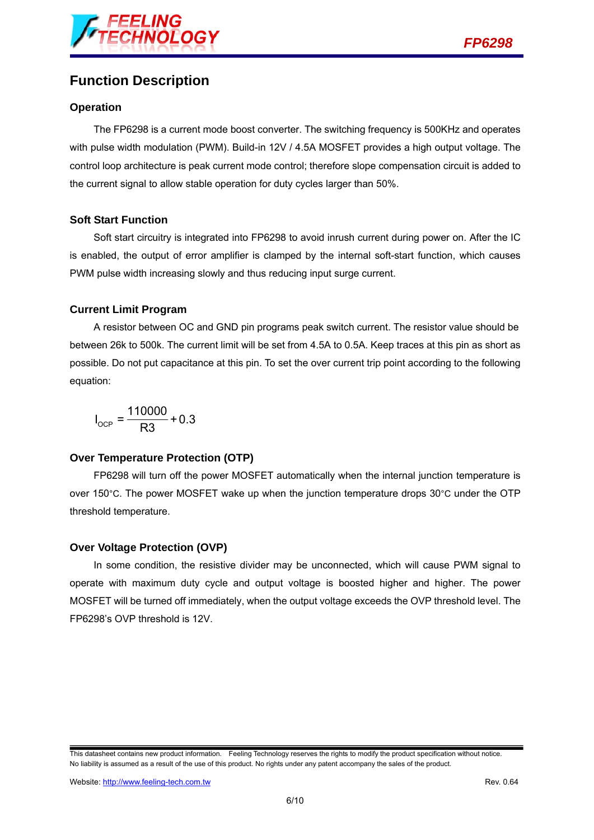

## **Function Description**

#### **Operation**

The FP6298 is a current mode boost converter. The switching frequency is 500KHz and operates with pulse width modulation (PWM). Build-in 12V / 4.5A MOSFET provides a high output voltage. The control loop architecture is peak current mode control; therefore slope compensation circuit is added to the current signal to allow stable operation for duty cycles larger than 50%.

#### **Soft Start Function**

Soft start circuitry is integrated into FP6298 to avoid inrush current during power on. After the IC is enabled, the output of error amplifier is clamped by the internal soft-start function, which causes PWM pulse width increasing slowly and thus reducing input surge current.

#### **Current Limit Program**

A resistor between OC and GND pin programs peak switch current. The resistor value should be between 26k to 500k. The current limit will be set from 4.5A to 0.5A. Keep traces at this pin as short as possible. Do not put capacitance at this pin. To set the over current trip point according to the following equation:

$$
I_{\text{OCP}} = \frac{110000}{R3} + 0.3
$$

#### **Over Temperature Protection (OTP)**

FP6298 will turn off the power MOSFET automatically when the internal junction temperature is over 150°C. The power MOSFET wake up when the junction temperature drops 30°C under the OTP threshold temperature.

#### **Over Voltage Protection (OVP)**

In some condition, the resistive divider may be unconnected, which will cause PWM signal to operate with maximum duty cycle and output voltage is boosted higher and higher. The power MOSFET will be turned off immediately, when the output voltage exceeds the OVP threshold level. The FP6298's OVP threshold is 12V.

This datasheet contains new product information. Feeling Technology reserves the rights to modify the product specification without notice. No liability is assumed as a result of the use of this product. No rights under any patent accompany the sales of the product.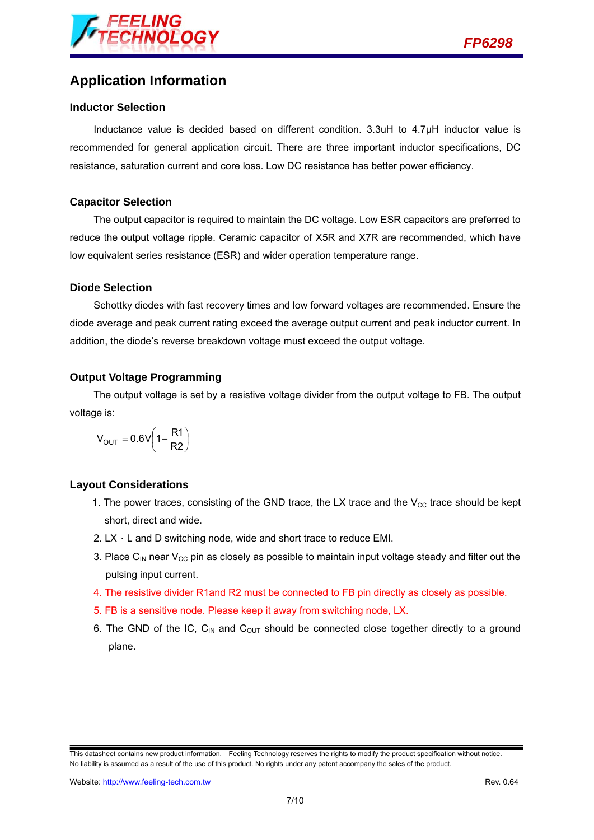

### **Application Information**

#### **Inductor Selection**

Inductance value is decided based on different condition. 3.3uH to 4.7µH inductor value is recommended for general application circuit. There are three important inductor specifications, DC resistance, saturation current and core loss. Low DC resistance has better power efficiency.

#### **Capacitor Selection**

The output capacitor is required to maintain the DC voltage. Low ESR capacitors are preferred to reduce the output voltage ripple. Ceramic capacitor of X5R and X7R are recommended, which have low equivalent series resistance (ESR) and wider operation temperature range.

#### **Diode Selection**

Schottky diodes with fast recovery times and low forward voltages are recommended. Ensure the diode average and peak current rating exceed the average output current and peak inductor current. In addition, the diode's reverse breakdown voltage must exceed the output voltage.

#### **Output Voltage Programming**

The output voltage is set by a resistive voltage divider from the output voltage to FB. The output voltage is:

$$
V_{OUT}=0.6V\left(1+\frac{R1}{R2}\right)
$$

#### **Layout Considerations**

- 1. The power traces, consisting of the GND trace, the LX trace and the  $V_{\text{CC}}$  trace should be kept short, direct and wide.
- 2. LX、L and D switching node, wide and short trace to reduce EMI.
- 3. Place C<sub>IN</sub> near V<sub>CC</sub> pin as closely as possible to maintain input voltage steady and filter out the pulsing input current.
- 4. The resistive divider R1and R2 must be connected to FB pin directly as closely as possible.
- 5. FB is a sensitive node. Please keep it away from switching node, LX.
- 6. The GND of the IC,  $C_{IN}$  and  $C_{OUT}$  should be connected close together directly to a ground plane.

This datasheet contains new product information. Feeling Technology reserves the rights to modify the product specification without notice. No liability is assumed as a result of the use of this product. No rights under any patent accompany the sales of the product.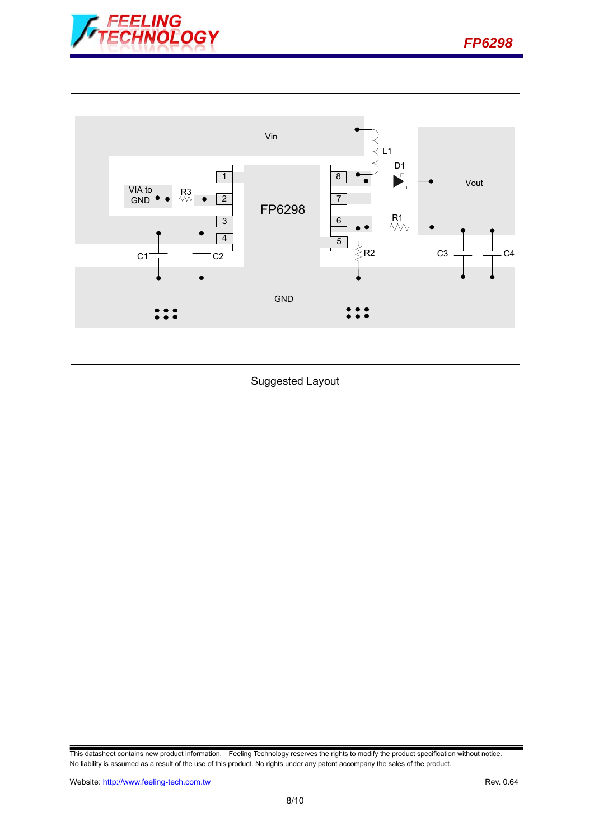



Suggested Layout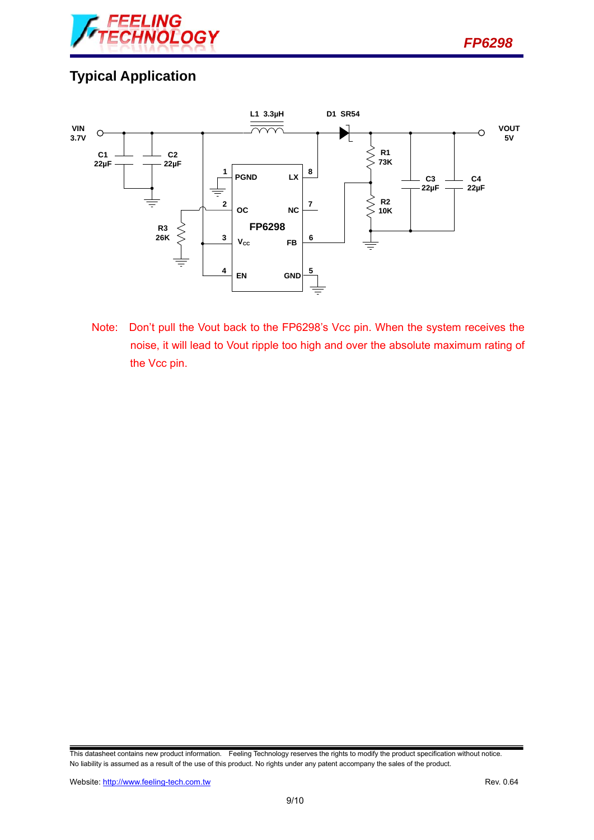

# **Typical Application**



Note: Don't pull the Vout back to the FP6298's Vcc pin. When the system receives the noise, it will lead to Vout ripple too high and over the absolute maximum rating of the Vcc pin.